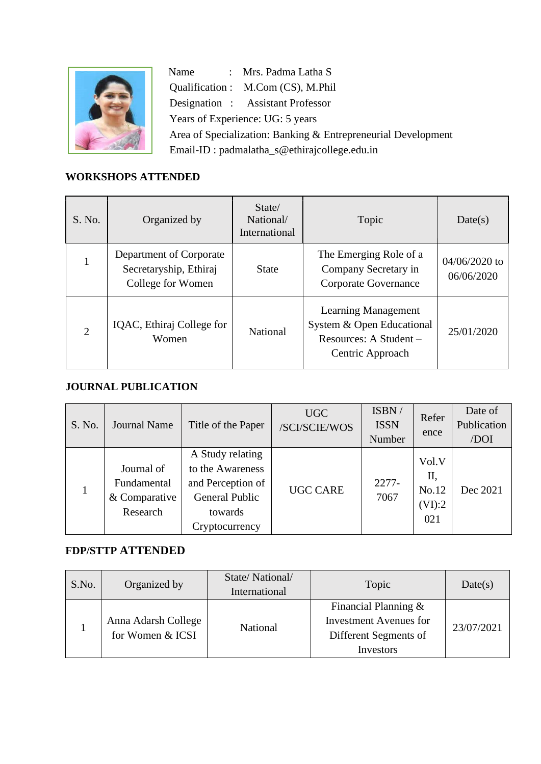

Name : Mrs. Padma Latha S Qualification : M.Com (CS), M.Phil Designation : Assistant Professor Years of Experience: UG: 5 years Area of Specialization: Banking & Entrepreneurial Development Email-ID : padmalatha\_s@ethirajcollege.edu.in

## **WORKSHOPS ATTENDED**

| S. No.         | Organized by                                                           | State/<br>National/<br>International | Topic                                                                                                 | Date(s)                       |
|----------------|------------------------------------------------------------------------|--------------------------------------|-------------------------------------------------------------------------------------------------------|-------------------------------|
|                | Department of Corporate<br>Secretaryship, Ethiraj<br>College for Women | <b>State</b>                         | The Emerging Role of a<br>Company Secretary in<br>Corporate Governance                                | $04/06/2020$ to<br>06/06/2020 |
| $\overline{2}$ | IQAC, Ethiraj College for<br>Women                                     | National                             | <b>Learning Management</b><br>System & Open Educational<br>Resources: A Student -<br>Centric Approach | 25/01/2020                    |

## **JOURNAL PUBLICATION**

| S. No.       | <b>Journal Name</b>                                    | Title of the Paper                                                                                       | <b>UGC</b><br>/SCI/SCIE/WOS | ISBN/<br><b>ISSN</b><br>Number | Refer<br>ence                         | Date of<br>Publication<br>/DOI |
|--------------|--------------------------------------------------------|----------------------------------------------------------------------------------------------------------|-----------------------------|--------------------------------|---------------------------------------|--------------------------------|
| $\mathbf{1}$ | Journal of<br>Fundamental<br>& Comparative<br>Research | A Study relating<br>to the Awareness<br>and Perception of<br>General Public<br>towards<br>Cryptocurrency | <b>UGC CARE</b>             | $2277-$<br>7067                | Vol.V<br>П,<br>No.12<br>(VI):2<br>021 | Dec 2021                       |

## **FDP/STTP ATTENDED**

| S.No. | Organized by                            | State/National/<br>International | Topic                                                                                          | Date(s)    |
|-------|-----------------------------------------|----------------------------------|------------------------------------------------------------------------------------------------|------------|
|       | Anna Adarsh College<br>for Women & ICSI | <b>National</b>                  | Financial Planning $\&$<br><b>Investment Avenues for</b><br>Different Segments of<br>Investors | 23/07/2021 |